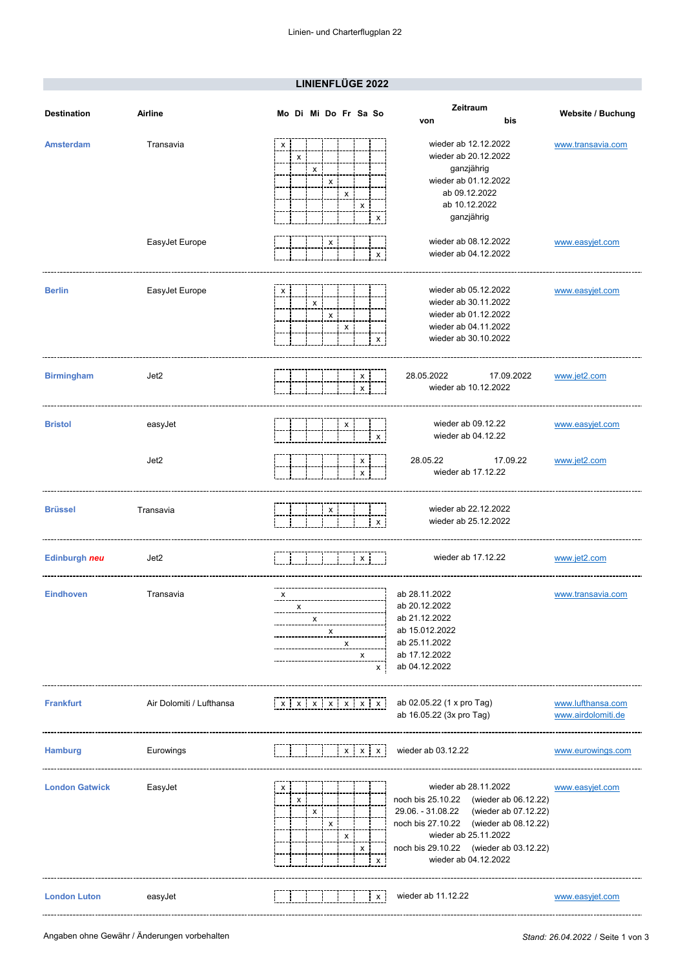## **LINIENFLÜGE 2022**

| <b>Destination</b>    | <b>Airline</b>           | Mo Di Mi Do Fr Sa So        |   |        |             |    | Zeitraum<br>bis<br>von                                                                                                                                                                                                                          | <b>Website / Buchung</b>                |
|-----------------------|--------------------------|-----------------------------|---|--------|-------------|----|-------------------------------------------------------------------------------------------------------------------------------------------------------------------------------------------------------------------------------------------------|-----------------------------------------|
| <b>Amsterdam</b>      | Transavia                | x<br>х                      | х | x<br>x | x           | X  | wieder ab 12.12.2022<br>wieder ab 20.12.2022<br>ganzjährig<br>wieder ab 01.12.2022<br>ab 09.12.2022<br>ab 10.12.2022<br>ganzjährig                                                                                                              | www.transavia.com                       |
|                       | EasyJet Europe           |                             |   | x      |             | x  | wieder ab 08.12.2022<br>wieder ab 04.12.2022                                                                                                                                                                                                    | www.easyjet.com                         |
| <b>Berlin</b>         | EasyJet Europe           | х                           | x | х<br>х |             | х  | wieder ab 05.12.2022<br>wieder ab 30.11.2022<br>wieder ab 01.12.2022<br>wieder ab 04.11.2022<br>wieder ab 30.10.2022                                                                                                                            | www.easyjet.com                         |
| <b>Birmingham</b>     | Jet2                     |                             |   |        | х<br>x      |    | 28.05.2022<br>17.09.2022<br>wieder ab 10.12.2022                                                                                                                                                                                                | www.jet2.com                            |
| <b>Bristol</b>        | easyJet                  |                             |   | х      |             | х  | wieder ab 09.12.22<br>wieder ab 04.12.22                                                                                                                                                                                                        | www.easyjet.com                         |
|                       | Jet2                     |                             |   |        | х<br>х      |    | 28.05.22<br>17.09.22<br>wieder ab 17.12.22                                                                                                                                                                                                      | www.jet2.com                            |
| <b>Brüssel</b>        | Transavia                |                             |   | х      |             | x  | wieder ab 22.12.2022<br>wieder ab 25.12.2022                                                                                                                                                                                                    |                                         |
| Edinburgh neu         | Jet2                     |                             |   |        | X           |    | wieder ab 17.12.22                                                                                                                                                                                                                              | www.jet2.com                            |
| <b>Eindhoven</b>      | Transavia                | х<br>х                      | х | х<br>х | х           | X. | ab 28.11.2022<br>ab 20.12.2022<br>ab 21.12.2022<br>ab 15.012.2022<br>ab 25.11.2022<br>ab 17.12.2022<br>ab 04.12.2022                                                                                                                            | www.transavia.com                       |
| <b>Frankfurt</b>      | Air Dolomiti / Lufthansa | $x$ $x$ $x$ $x$ $x$ $x$ $x$ |   |        |             |    | ab 02.05.22 (1 x pro Tag)<br>ab 16.05.22 (3x pro Tag)                                                                                                                                                                                           | www.lufthansa.com<br>www.airdolomiti.de |
| <b>Hamburg</b>        | Eurowings                |                             |   |        | $X$ $X$ $X$ |    | wieder ab 03.12.22                                                                                                                                                                                                                              | www.eurowings.com                       |
| <b>London Gatwick</b> | EasyJet                  | х<br>х                      | x | х<br>X | x           | х  | wieder ab 28.11.2022<br>noch bis 25.10.22 (wieder ab 06.12.22)<br>29.06. - 31.08.22<br>(wieder ab 07.12.22)<br>noch bis 27.10.22 (wieder ab 08.12.22)<br>wieder ab 25.11.2022<br>noch bis 29.10.22 (wieder ab 03.12.22)<br>wieder ab 04.12.2022 | www.easyjet.com                         |
| <b>London Luton</b>   | easyJet                  |                             |   |        |             | x  | wieder ab 11.12.22                                                                                                                                                                                                                              | www.easyjet.com                         |

-------------------------------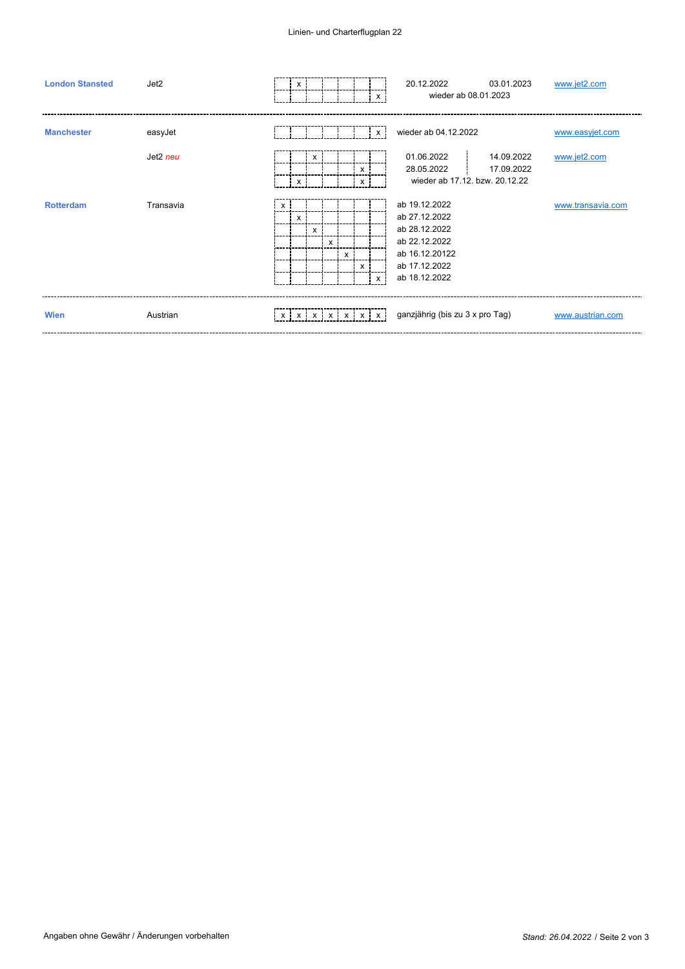## Linien- und Charterflugplan 22

| <b>London Stansted</b> | Jet2      |                           | х |   |              |   |                                        | 20.12.2022<br>03.01.2023<br>wieder ab 08.01.2023                                                                     | www.jet2.com      |
|------------------------|-----------|---------------------------|---|---|--------------|---|----------------------------------------|----------------------------------------------------------------------------------------------------------------------|-------------------|
| <b>Manchester</b>      | easyJet   |                           |   |   |              |   | $\times$                               | wieder ab 04.12.2022                                                                                                 | www.easyjet.com   |
|                        | Jet2 neu  |                           | x | x |              |   | $\times$<br>x                          | 01.06.2022<br>14.09.2022<br>28.05.2022<br>17.09.2022<br>wieder ab 17.12, bzw. 20.12.22                               | www.jet2.com      |
| <b>Rotterdam</b>       | Transavia | $\boldsymbol{\mathsf{x}}$ | х | x | $\mathsf{x}$ | X | $\times$<br>$\times$                   | ab 19.12.2022<br>ab 27.12.2022<br>ab 28.12.2022<br>ab 22.12.2022<br>ab 16.12.20122<br>ab 17.12.2022<br>ab 18.12.2022 | www.transavia.com |
| Wien                   | Austrian  |                           |   |   |              |   | $x \mid x \mid x \mid x \mid x \mid x$ | ganzjährig (bis zu 3 x pro Tag)                                                                                      | www.austrian.com  |